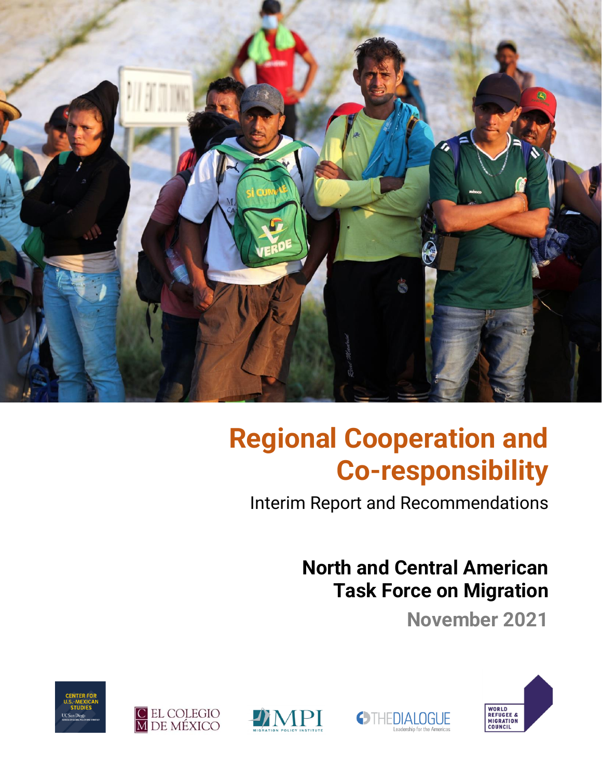

# **Regional Cooperation and Co-responsibility**

Interim Report and Recommendations

**OTHEDIALOGUE** 

# **North and Central American Task Force on Migration**

**November 2021**







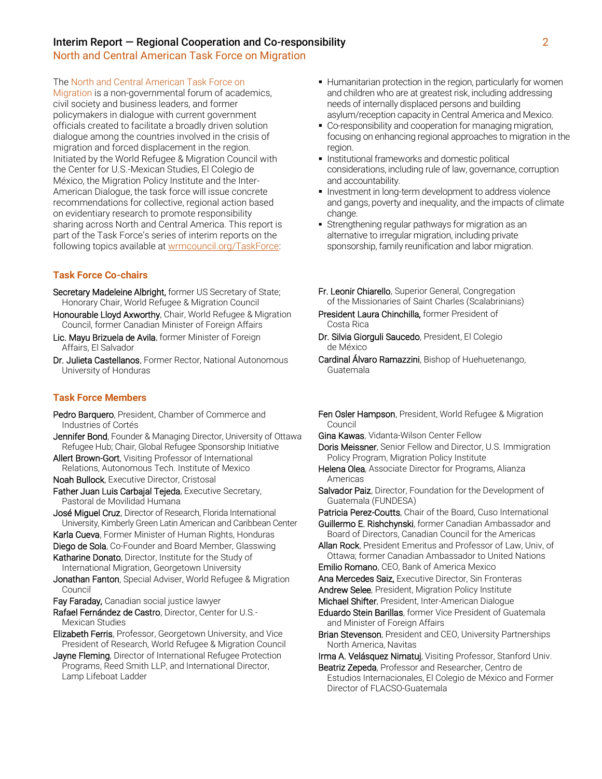North and Central American Task Force on Migration

The North and Central American Task Force on

Migration is a non-governmental forum of academics, civil society and business leaders, and former policymakers in dialogue with current government officials created to facilitate a broadly driven solution dialogue among the countries involved in the crisis of migration and forced displacement in the region. Initiated by the World Refugee & Migration Council with the Center for U.S.-Mexican Studies, El Colegio de México, the Migration Policy Institute and the Inter-American Dialogue, the task force will issue concrete recommendations for collective, regional action based on evidentiary research to promote responsibility sharing across North and Central America. This report is part of the Task Force's series of interim reports on the following topics available at [wrmcouncil.org/TaskForce:](https://wrmcouncil.org/taskforce)

#### **Task Force Co-chairs**

- Secretary Madeleine Albright, former US Secretary of State; Honorary Chair, World Refugee & Migration Council
- Honourable Lloyd Axworthy, Chair, World Refugee & Migration Council, former Canadian Minister of Foreign Affairs
- Lic. Mayu Brizuela de Avila, former Minister of Foreign Affairs, El Salvador
- Dr. Julieta Castellanos, Former Rector, National Autonomous University of Honduras

#### **Task Force Members**

- Pedro Barquero, President, Chamber of Commerce and Industries of Cortés
- **Jennifer Bond**, Founder & Managing Director, University of Ottawa Refugee Hub; Chair, Global Refugee Sponsorship Initiative
- Allert Brown-Gort, Visiting Professor of International Relations, Autonomous Tech. Institute of Mexico
- Noah Bullock, Executive Director, Cristosal
- Father Juan Luis Carbajal Tejeda, Executive Secretary, Pastoral de Movilidad Humana
- José Miguel Cruz, Director of Research, Florida International University, Kimberly Green Latin American and Caribbean Center
- Karla Cueva, Former Minister of Human Rights, Honduras
- Diego de Sola, Co-Founder and Board Member, Glasswing Katharine Donato, Director, Institute for the Study of
- International Migration, Georgetown University
- Jonathan Fanton, Special Adviser, World Refugee & Migration Council
- Fay Faraday, Canadian social justice lawyer
- Rafael Fernández de Castro, Director, Center for U.S.- Mexican Studies
- Elizabeth Ferris, Professor, Georgetown University, and Vice President of Research, World Refugee & Migration Council
- Jayne Fleming, Director of International Refugee Protection Programs, Reed Smith LLP, and International Director, Lamp Lifeboat Ladder
- **EXTERGHTM** Humanitarian protection in the region, particularly for women and children who are at greatest risk, including addressing needs of internally displaced persons and building asylum/reception capacity in Central America and Mexico.
- Co-responsibility and cooperation for managing migration, focusing on enhancing regional approaches to migration in the region.
- **.** Institutional frameworks and domestic political considerations, including rule of law, governance, corruption and accountability.
- **Investment in long-term development to address violence** and gangs, poverty and inequality, and the impacts of climate change.
- **EXTENGTHERICAL STATE STATE IS STATE:** Strengthening regular pathways for migration as an alternative to irregular migration, including private sponsorship, family reunification and labor migration.
- Fr. Leonir Chiarello, Superior General, Congregation of the Missionaries of Saint Charles (Scalabrinians)
- President Laura Chinchilla, former President of Costa Rica
- Dr. Silvia Giorguli Saucedo, President, El Colegio de México
- Cardinal Álvaro Ramazzini, Bishop of Huehuetenango, Guatemala
- **Fen Osler Hampson**, President, World Refugee & Migration Council
- Gina Kawas, Vidanta-Wilson Center Fellow

Doris Meissner, Senior Fellow and Director, U.S. Immigration Policy Program, Migration Policy Institute

- Helena Olea, Associate Director for Programs, Alianza Americas
- Salvador Paiz, Director, Foundation for the Development of Guatemala (FUNDESA)

Patricia Perez-Coutts, Chair of the Board, Cuso International Guillermo E. Rishchynski, former Canadian Ambassador and Board of Directors, Canadian Council for the Americas

- Allan Rock, President Emeritus and Professor of Law, Univ, of Ottawa; former Canadian Ambassador to United Nations
- Emilio Romano, CEO, Bank of America Mexico
- Ana Mercedes Saiz, Executive Director, Sin Fronteras
- Andrew Selee, President, Migration Policy Institute
- Michael Shifter, President, Inter-American Dialogue
- Eduardo Stein Barillas, former Vice President of Guatemala and Minister of Foreign Affairs
- **Brian Stevenson**, President and CEO, University Partnerships North America, Navitas

Irma A. Velásquez Nimatuj, Visiting Professor, Stanford Univ.

Beatriz Zepeda, Professor and Researcher, Centro de Estudios Internacionales, El Colegio de México and Former Director of FLACSO-Guatemala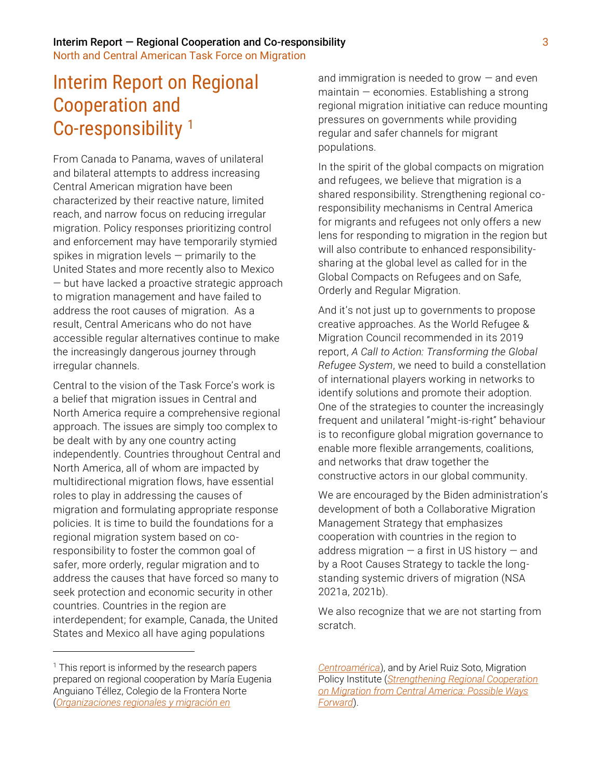North and Central American Task Force on Migration

# Interim Report on Regional Cooperation and Co-responsibility <sup>1</sup>

From Canada to Panama, waves of unilateral and bilateral attempts to address increasing Central American migration have been characterized by their reactive nature, limited reach, and narrow focus on reducing irregular migration. Policy responses prioritizing control and enforcement may have temporarily stymied spikes in migration levels — primarily to the United States and more recently also to Mexico — but have lacked a proactive strategic approach to migration management and have failed to address the root causes of migration. As a result, Central Americans who do not have accessible regular alternatives continue to make the increasingly dangerous journey through irregular channels.

Central to the vision of the Task Force's work is a belief that migration issues in Central and North America require a comprehensive regional approach. The issues are simply too complex to be dealt with by any one country acting independently. Countries throughout Central and North America, all of whom are impacted by multidirectional migration flows, have essential roles to play in addressing the causes of migration and formulating appropriate response policies. It is time to build the foundations for a regional migration system based on coresponsibility to foster the common goal of safer, more orderly, regular migration and to address the causes that have forced so many to seek protection and economic security in other countries. Countries in the region are interdependent; for example, Canada, the United States and Mexico all have aging populations

and immigration is needed to grow  $-$  and even maintain — economies. Establishing a strong regional migration initiative can reduce mounting pressures on governments while providing regular and safer channels for migrant populations.

In the spirit of the global compacts on migration and refugees, we believe that migration is a shared responsibility. Strengthening regional coresponsibility mechanisms in Central America for migrants and refugees not only offers a new lens for responding to migration in the region but will also contribute to enhanced responsibilitysharing at the global level as called for in the Global Compacts on Refugees and on Safe, Orderly and Regular Migration.

And it's not just up to governments to propose creative approaches. As the World Refugee & Migration Council recommended in its 2019 report, *A Call to Action: Transforming the Global Refugee System*, we need to build a constellation of international players working in networks to identify solutions and promote their adoption. One of the strategies to counter the increasingly frequent and unilateral "might-is-right" behaviour is to reconfigure global migration governance to enable more flexible arrangements, coalitions, and networks that draw together the constructive actors in our global community.

We are encouraged by the Biden administration's development of both a Collaborative Migration Management Strategy that emphasizes cooperation with countries in the region to address migration — a first in US history — and by a Root Causes Strategy to tackle the longstanding systemic drivers of migration (NSA 2021a, 2021b).

We also recognize that we are not starting from scratch.

 $<sup>1</sup>$  This report is informed by the research papers</sup> prepared on regional cooperation by María Eugenia Anguiano Téllez, Colegio de la Frontera Norte (*[Organizaciones regionales y migración en](https://wrmcouncil.org/download/7269/)* 

*[Centroamérica](https://wrmcouncil.org/download/7269/)*), and by Ariel Ruiz Soto, Migration Policy Institute (*[Strengthening Regional Cooperation](https://wrmcouncil.org/download/7294/)  [on Migration from Central America: Possible Ways](https://wrmcouncil.org/download/7294/)  [Forward](https://wrmcouncil.org/download/7294/)*).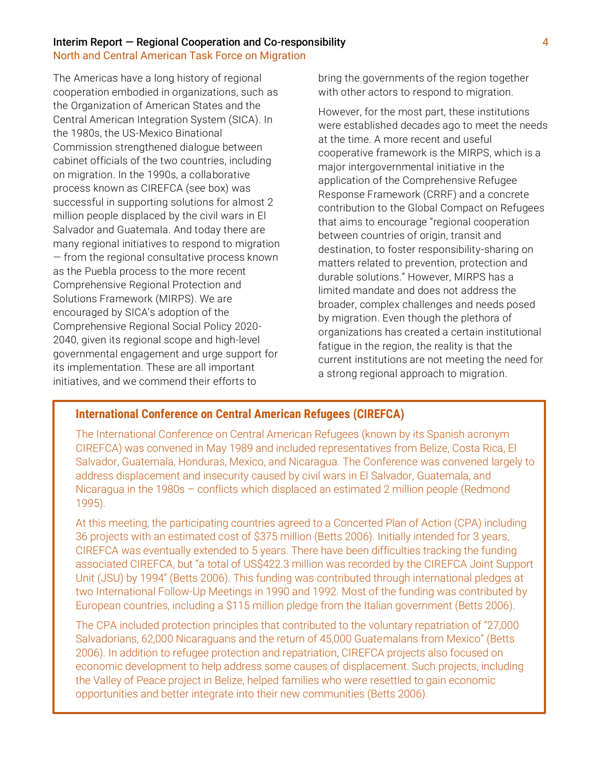North and Central American Task Force on Migration

The Americas have a long history of regional cooperation embodied in organizations, such as the Organization of American States and the Central American Integration System (SICA). In the 1980s, the US-Mexico Binational Commission strengthened dialogue between cabinet officials of the two countries, including on migration. In the 1990s, a collaborative process known as CIREFCA (see box) was successful in supporting solutions for almost 2 million people displaced by the civil wars in El Salvador and Guatemala. And today there are many regional initiatives to respond to migration — from the regional consultative process known as the Puebla process to the more recent Comprehensive Regional Protection and Solutions Framework (MIRPS). We are encouraged by SICA's adoption of the Comprehensive Regional Social Policy 2020- 2040, given its regional scope and high-level governmental engagement and urge support for its implementation. These are all important initiatives, and we commend their efforts to

bring the governments of the region together with other actors to respond to migration.

However, for the most part, these institutions were established decades ago to meet the needs at the time. A more recent and useful cooperative framework is the MIRPS, which is a major intergovernmental initiative in the application of the Comprehensive Refugee Response Framework (CRRF) and a concrete contribution to the Global Compact on Refugees that aims to encourage "regional cooperation between countries of origin, transit and destination, to foster responsibility-sharing on matters related to prevention, protection and durable solutions." However, MIRPS has a limited mandate and does not address the broader, complex challenges and needs posed by migration. Even though the plethora of organizations has created a certain institutional fatigue in the region, the reality is that the current institutions are not meeting the need for a strong regional approach to migration.

# **International Conference on Central American Refugees (CIREFCA)**

The International Conference on Central American Refugees (known by its Spanish acronym CIREFCA) was convened in May 1989 and included representatives from Belize, Costa Rica, El Salvador, Guatemala, Honduras, Mexico, and Nicaragua. The Conference was convened largely to address displacement and insecurity caused by civil wars in El Salvador, Guatemala, and Nicaragua in the 1980s – conflicts which displaced an estimated 2 million people (Redmond 1995).

At this meeting, the participating countries agreed to a Concerted Plan of Action (CPA) including 36 projects with an estimated cost of \$375 million (Betts 2006). Initially intended for 3 years, CIREFCA was eventually extended to 5 years. There have been difficulties tracking the funding associated CIREFCA, but "a total of US\$422.3 million was recorded by the CIREFCA Joint Support Unit (JSU) by 1994" (Betts 2006). This funding was contributed through international pledges at two International Follow-Up Meetings in 1990 and 1992. Most of the funding was contributed by European countries, including a \$115 million pledge from the Italian government (Betts 2006).

The CPA included protection principles that contributed to the voluntary repatriation of "27,000 Salvadorians, 62,000 Nicaraguans and the return of 45,000 Guatemalans from Mexico" (Betts 2006). In addition to refugee protection and repatriation, CIREFCA projects also focused on economic development to help address some causes of displacement. Such projects, including the Valley of Peace project in Belize, helped families who were resettled to gain economic opportunities and better integrate into their new communities (Betts 2006).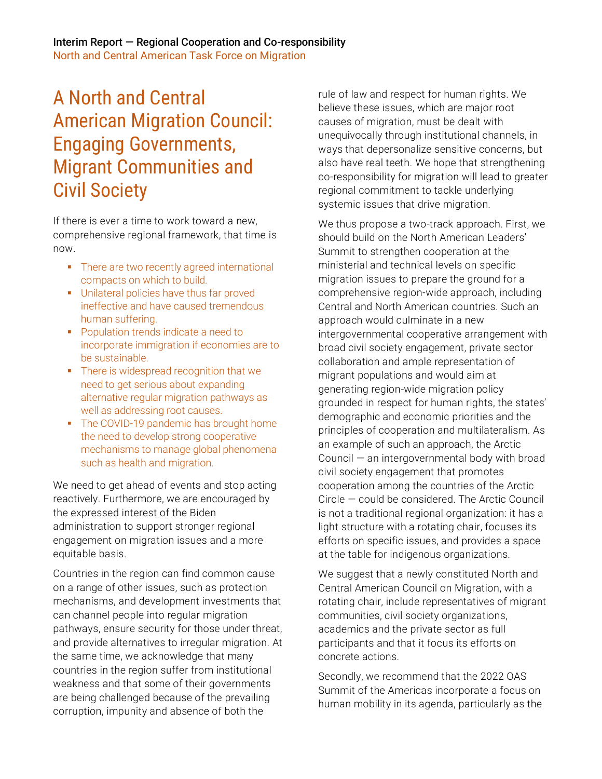# A North and Central American Migration Council: Engaging Governments, Migrant Communities and Civil Society

If there is ever a time to work toward a new, comprehensive regional framework, that time is now.

- There are two recently agreed international compacts on which to build.
- **■** Unilateral policies have thus far proved ineffective and have caused tremendous human suffering.
- Population trends indicate a need to incorporate immigration if economies are to be sustainable.
- **•** There is widespread recognition that we need to get serious about expanding alternative regular migration pathways as well as addressing root causes.
- The COVID-19 pandemic has brought home the need to develop strong cooperative mechanisms to manage global phenomena such as health and migration.

We need to get ahead of events and stop acting reactively. Furthermore, we are encouraged by the expressed interest of the Biden administration to support stronger regional engagement on migration issues and a more equitable basis.

Countries in the region can find common cause on a range of other issues, such as protection mechanisms, and development investments that can channel people into regular migration pathways, ensure security for those under threat, and provide alternatives to irregular migration. At the same time, we acknowledge that many countries in the region suffer from institutional weakness and that some of their governments are being challenged because of the prevailing corruption, impunity and absence of both the

rule of law and respect for human rights. We believe these issues, which are major root causes of migration, must be dealt with unequivocally through institutional channels, in ways that depersonalize sensitive concerns, but also have real teeth. We hope that strengthening co-responsibility for migration will lead to greater regional commitment to tackle underlying systemic issues that drive migration.

We thus propose a two-track approach. First, we should build on the North American Leaders' Summit to strengthen cooperation at the ministerial and technical levels on specific migration issues to prepare the ground for a comprehensive region-wide approach, including Central and North American countries. Such an approach would culminate in a new intergovernmental cooperative arrangement with broad civil society engagement, private sector collaboration and ample representation of migrant populations and would aim at generating region-wide migration policy grounded in respect for human rights, the states' demographic and economic priorities and the principles of cooperation and multilateralism. As an example of such an approach, the Arctic Council — an intergovernmental body with broad civil society engagement that promotes cooperation among the countries of the Arctic Circle — could be considered. The Arctic Council is not a traditional regional organization: it has a light structure with a rotating chair, focuses its efforts on specific issues, and provides a space at the table for indigenous organizations.

We suggest that a newly constituted North and Central American Council on Migration, with a rotating chair, include representatives of migrant communities, civil society organizations, academics and the private sector as full participants and that it focus its efforts on concrete actions.

Secondly, we recommend that the 2022 OAS Summit of the Americas incorporate a focus on human mobility in its agenda, particularly as the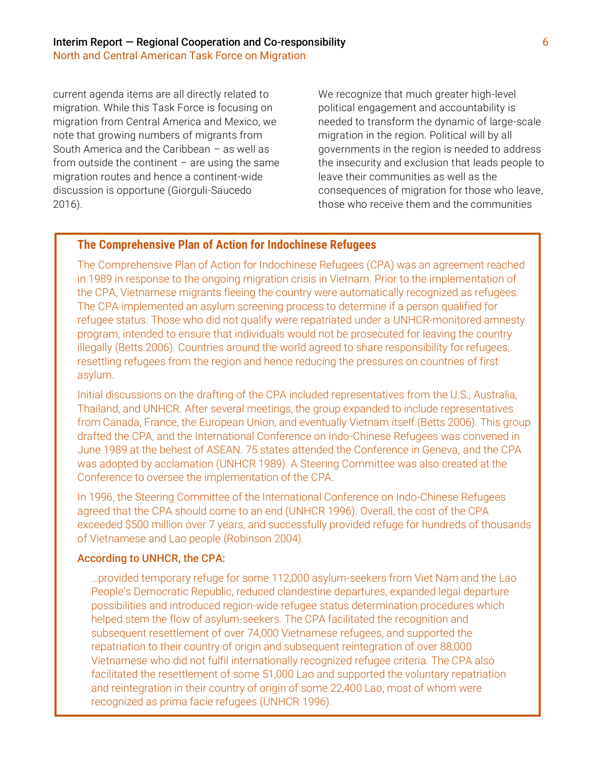current agenda items are all directly related to migration. While this Task Force is focusing on migration from Central America and Mexico, we note that growing numbers of migrants from South America and the Caribbean – as well as from outside the continent  $-$  are using the same migration routes and hence a continent-wide discussion is opportune (Giorguli-Saucedo 2016).

We recognize that much greater high-level political engagement and accountability is needed to transform the dynamic of large-scale migration in the region. Political will by all governments in the region is needed to address the insecurity and exclusion that leads people to leave their communities as well as the consequences of migration for those who leave, those who receive them and the communities

# **The Comprehensive Plan of Action for Indochinese Refugees**

The Comprehensive Plan of Action for Indochinese Refugees (CPA) was an agreement reached in 1989 in response to the ongoing migration crisis in Vietnam. Prior to the implementation of the CPA, Vietnamese migrants fleeing the country were automatically recognized as refugees. The CPA implemented an asylum screening process to determine if a person qualified for refugee status. Those who did not qualify were repatriated under a UNHCR-monitored amnesty program, intended to ensure that individuals would not be prosecuted for leaving the country illegally (Betts 2006). Countries around the world agreed to share responsibility for refugees, resettling refugees from the region and hence reducing the pressures on countries of first asylum.

Initial discussions on the drafting of the CPA included representatives from the U.S., Australia, Thailand, and UNHCR. After several meetings, the group expanded to include representatives from Canada, France, the European Union, and eventually Vietnam itself (Betts 2006). This group drafted the CPA, and the International Conference on Indo-Chinese Refugees was convened in June 1989 at the behest of ASEAN. 75 states attended the Conference in Geneva, and the CPA was adopted by acclamation (UNHCR 1989). A Steering Committee was also created at the Conference to oversee the implementation of the CPA.

In 1996, the Steering Committee of the International Conference on Indo-Chinese Refugees agreed that the CPA should come to an end (UNHCR 1996). Overall, the cost of the CPA exceeded \$500 million over 7 years, and successfully provided refuge for hundreds of thousands of Vietnamese and Lao people (Robinson 2004).

### According to UNHCR, the CPA:

…provided temporary refuge for some 112,000 asylum-seekers from Viet Nam and the Lao People's Democratic Republic, reduced clandestine departures, expanded legal departure possibilities and introduced region-wide refugee status determination procedures which helped stem the flow of asylum-seekers. The CPA facilitated the recognition and subsequent resettlement of over 74,000 Vietnamese refugees, and supported the repatriation to their country of origin and subsequent reintegration of over 88,000 Vietnamese who did not fulfil internationally recognized refugee criteria. The CPA also facilitated the resettlement of some 51,000 Lao and supported the voluntary repatriation and reintegration in their country of origin of some 22,400 Lao, most of whom were recognized as prima facie refugees (UNHCR 1996).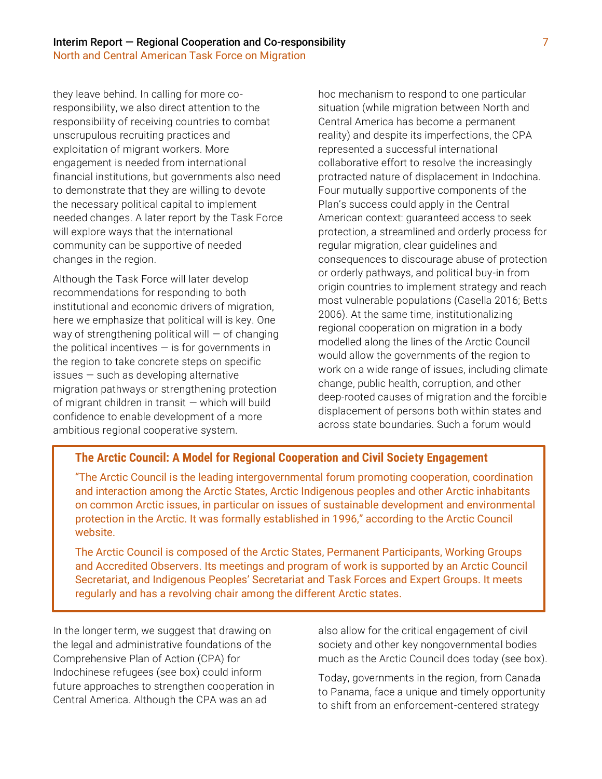they leave behind. In calling for more coresponsibility, we also direct attention to the responsibility of receiving countries to combat unscrupulous recruiting practices and exploitation of migrant workers. More engagement is needed from international financial institutions, but governments also need to demonstrate that they are willing to devote the necessary political capital to implement needed changes. A later report by the Task Force will explore ways that the international community can be supportive of needed changes in the region.

Although the Task Force will later develop recommendations for responding to both institutional and economic drivers of migration, here we emphasize that political will is key. One way of strengthening political will  $-$  of changing the political incentives  $-$  is for governments in the region to take concrete steps on specific issues — such as developing alternative migration pathways or strengthening protection of migrant children in transit — which will build confidence to enable development of a more ambitious regional cooperative system.

hoc mechanism to respond to one particular situation (while migration between North and Central America has become a permanent reality) and despite its imperfections, the CPA represented a successful international collaborative effort to resolve the increasingly protracted nature of displacement in Indochina. Four mutually supportive components of the Plan's success could apply in the Central American context: guaranteed access to seek protection, a streamlined and orderly process for regular migration, clear guidelines and consequences to discourage abuse of protection or orderly pathways, and political buy-in from origin countries to implement strategy and reach most vulnerable populations (Casella 2016; Betts 2006). At the same time, institutionalizing regional cooperation on migration in a body modelled along the lines of the Arctic Council would allow the governments of the region to work on a wide range of issues, including climate change, public health, corruption, and other deep-rooted causes of migration and the forcible displacement of persons both within states and across state boundaries. Such a forum would

## **The Arctic Council: A Model for Regional Cooperation and Civil Society Engagement**

"The Arctic Council is the leading intergovernmental forum promoting cooperation, coordination and interaction among the Arctic States, Arctic Indigenous peoples and other Arctic inhabitants on common Arctic issues, in particular on issues of sustainable development and environmental protection in the Arctic. It was formally established in 1996," according to the Arctic Council website.

The Arctic Council is composed of the Arctic States, Permanent Participants, Working Groups and Accredited Observers. Its meetings and program of work is supported by an Arctic Council Secretariat, and Indigenous Peoples' Secretariat and Task Forces and Expert Groups. It meets regularly and has a revolving chair among the different Arctic states.

In the longer term, we suggest that drawing on the legal and administrative foundations of the Comprehensive Plan of Action (CPA) for Indochinese refugees (see box) could inform future approaches to strengthen cooperation in Central America. Although the CPA was an ad

also allow for the critical engagement of civil society and other key nongovernmental bodies much as the Arctic Council does today (see box).

Today, governments in the region, from Canada to Panama, face a unique and timely opportunity to shift from an enforcement-centered strategy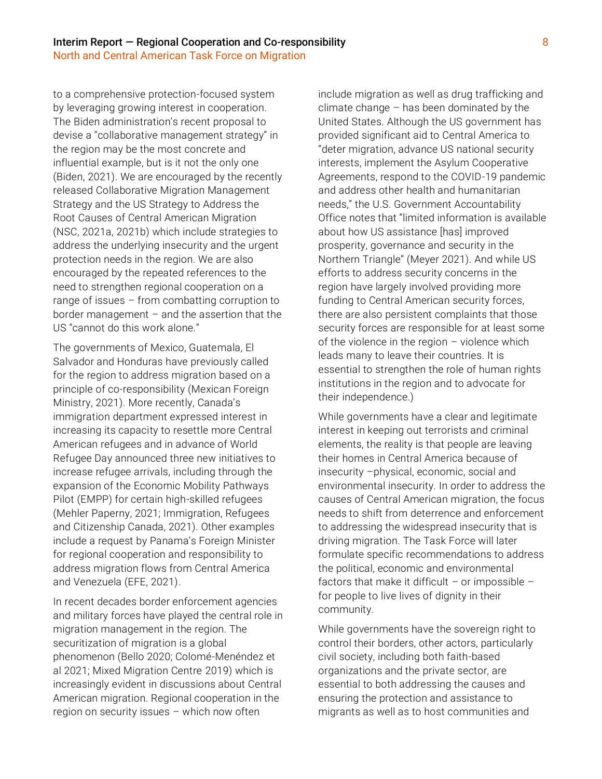to a comprehensive protection-focused system by leveraging growing interest in cooperation. The Biden administration's recent proposal to devise a "collaborative management strategy" in the region may be the most concrete and influential example, but is it not the only one (Biden, 2021). We are encouraged by the recently released Collaborative Migration Management Strategy and the US Strategy to Address the Root Causes of Central American Migration (NSC, 2021a, 2021b) which include strategies to address the underlying insecurity and the urgent protection needs in the region. We are also encouraged by the repeated references to the need to strengthen regional cooperation on a range of issues – from combatting corruption to border management – and the assertion that the US "cannot do this work alone."

The governments of Mexico, Guatemala, El Salvador and Honduras have previously called for the region to address migration based on a principle of co-responsibility (Mexican Foreign Ministry, 2021). More recently, Canada's immigration department expressed interest in increasing its capacity to resettle more Central American refugees and in advance of World Refugee Day announced three new initiatives to increase refugee arrivals, including through the expansion of the Economic Mobility Pathways Pilot (EMPP) for certain high-skilled refugees (Mehler Paperny, 2021; Immigration, Refugees and Citizenship Canada, 2021). Other examples include a request by Panama's Foreign Minister for regional cooperation and responsibility to address migration flows from Central America and Venezuela (EFE, 2021).

In recent decades border enforcement agencies and military forces have played the central role in migration management in the region. The securitization of migration is a global phenomenon (Bello 2020; Colomé-Menéndez et al 2021; Mixed Migration Centre 2019) which is increasingly evident in discussions about Central American migration. Regional cooperation in the region on security issues – which now often

include migration as well as drug trafficking and climate change – has been dominated by the United States. Although the US government has provided significant aid to Central America to "deter migration, advance US national security interests, implement the Asylum Cooperative Agreements, respond to the COVID-19 pandemic and address other health and humanitarian needs," the U.S. Government Accountability Office notes that "limited information is available about how US assistance [has] improved prosperity, governance and security in the Northern Triangle" (Meyer 2021). And while US efforts to address security concerns in the region have largely involved providing more funding to Central American security forces, there are also persistent complaints that those security forces are responsible for at least some of the violence in the region – violence which leads many to leave their countries. It is essential to strengthen the role of human rights institutions in the region and to advocate for their independence.)

While governments have a clear and legitimate interest in keeping out terrorists and criminal elements, the reality is that people are leaving their homes in Central America because of insecurity –physical, economic, social and environmental insecurity. In order to address the causes of Central American migration, the focus needs to shift from deterrence and enforcement to addressing the widespread insecurity that is driving migration. The Task Force will later formulate specific recommendations to address the political, economic and environmental factors that make it difficult  $-$  or impossible  $$ for people to live lives of dignity in their community.

While governments have the sovereign right to control their borders, other actors, particularly civil society, including both faith-based organizations and the private sector, are essential to both addressing the causes and ensuring the protection and assistance to migrants as well as to host communities and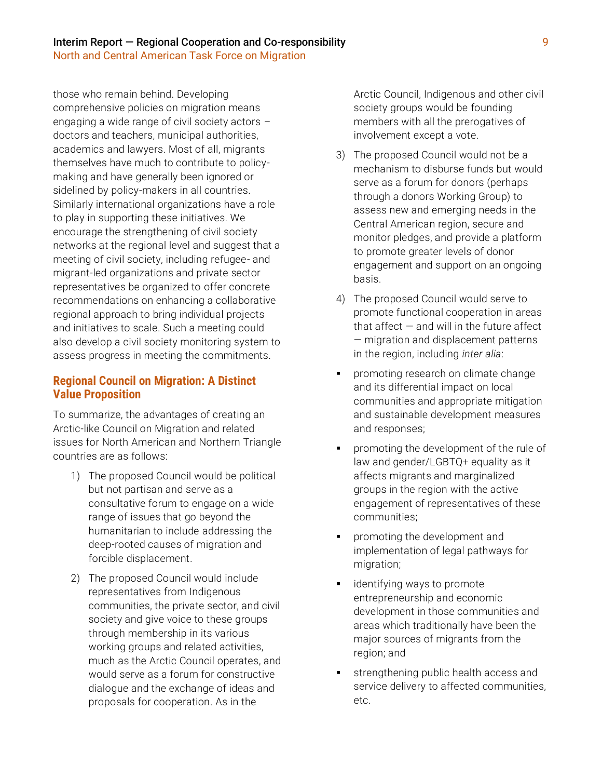those who remain behind. Developing comprehensive policies on migration means engaging a wide range of civil society actors – doctors and teachers, municipal authorities, academics and lawyers. Most of all, migrants themselves have much to contribute to policymaking and have generally been ignored or sidelined by policy-makers in all countries. Similarly international organizations have a role to play in supporting these initiatives. We encourage the strengthening of civil society networks at the regional level and suggest that a meeting of civil society, including refugee- and migrant-led organizations and private sector representatives be organized to offer concrete recommendations on enhancing a collaborative regional approach to bring individual projects and initiatives to scale. Such a meeting could also develop a civil society monitoring system to assess progress in meeting the commitments.

# **Regional Council on Migration: A Distinct Value Proposition**

To summarize, the advantages of creating an Arctic-like Council on Migration and related issues for North American and Northern Triangle countries are as follows:

- 1) The proposed Council would be political but not partisan and serve as a consultative forum to engage on a wide range of issues that go beyond the humanitarian to include addressing the deep-rooted causes of migration and forcible displacement.
- 2) The proposed Council would include representatives from Indigenous communities, the private sector, and civil society and give voice to these groups through membership in its various working groups and related activities, much as the Arctic Council operates, and would serve as a forum for constructive dialogue and the exchange of ideas and proposals for cooperation. As in the

Arctic Council, Indigenous and other civil society groups would be founding members with all the prerogatives of involvement except a vote.

- 3) The proposed Council would not be a mechanism to disburse funds but would serve as a forum for donors (perhaps through a donors Working Group) to assess new and emerging needs in the Central American region, secure and monitor pledges, and provide a platform to promote greater levels of donor engagement and support on an ongoing basis.
- 4) The proposed Council would serve to promote functional cooperation in areas that affect  $-$  and will in the future affect — migration and displacement patterns in the region, including *inter alia*:
- promoting research on climate change and its differential impact on local communities and appropriate mitigation and sustainable development measures and responses;
- promoting the development of the rule of law and gender/LGBTQ+ equality as it affects migrants and marginalized groups in the region with the active engagement of representatives of these communities;
- promoting the development and implementation of legal pathways for migration;
- identifying ways to promote entrepreneurship and economic development in those communities and areas which traditionally have been the major sources of migrants from the region; and
- strengthening public health access and service delivery to affected communities, etc.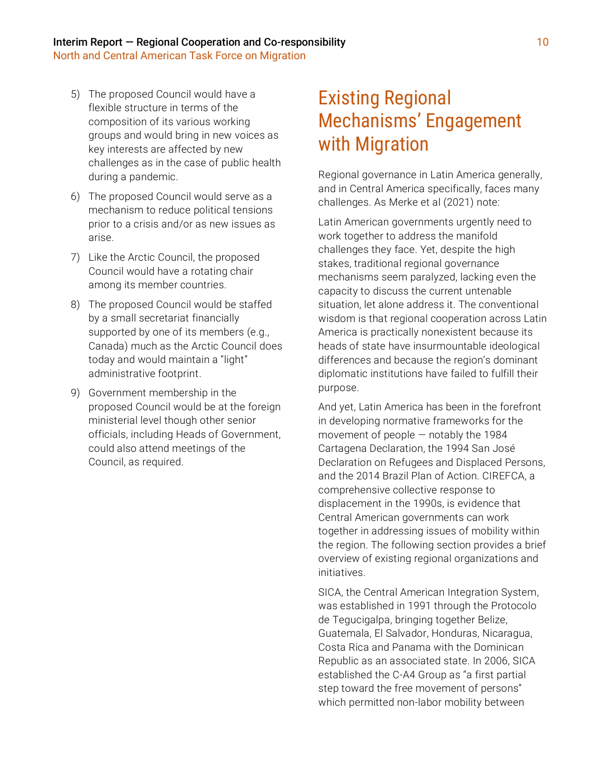- 5) The proposed Council would have a flexible structure in terms of the composition of its various working groups and would bring in new voices as key interests are affected by new challenges as in the case of public health during a pandemic.
- 6) The proposed Council would serve as a mechanism to reduce political tensions prior to a crisis and/or as new issues as arise.
- 7) Like the Arctic Council, the proposed Council would have a rotating chair among its member countries.
- 8) The proposed Council would be staffed by a small secretariat financially supported by one of its members (e.g., Canada) much as the Arctic Council does today and would maintain a "light" administrative footprint.
- 9) Government membership in the proposed Council would be at the foreign ministerial level though other senior officials, including Heads of Government, could also attend meetings of the Council, as required.

# Existing Regional Mechanisms' Engagement with Migration

Regional governance in Latin America generally, and in Central America specifically, faces many challenges. As Merke et al (2021) note:

Latin American governments urgently need to work together to address the manifold challenges they face. Yet, despite the high stakes, traditional regional governance mechanisms seem paralyzed, lacking even the capacity to discuss the current untenable situation, let alone address it. The conventional wisdom is that regional cooperation across Latin America is practically nonexistent because its heads of state have insurmountable ideological differences and because the region's dominant diplomatic institutions have failed to fulfill their purpose.

And yet, Latin America has been in the forefront in developing normative frameworks for the movement of people — notably the 1984 Cartagena Declaration, the 1994 San José Declaration on Refugees and Displaced Persons, and the 2014 Brazil Plan of Action. CIREFCA, a comprehensive collective response to displacement in the 1990s, is evidence that Central American governments can work together in addressing issues of mobility within the region. The following section provides a brief overview of existing regional organizations and initiatives.

SICA, the Central American Integration System, was established in 1991 through the Protocolo de Tegucigalpa, bringing together Belize, Guatemala, El Salvador, Honduras, Nicaragua, Costa Rica and Panama with the Dominican Republic as an associated state. In 2006, SICA established the C-A4 Group as "a first partial step toward the free movement of persons" which permitted non-labor mobility between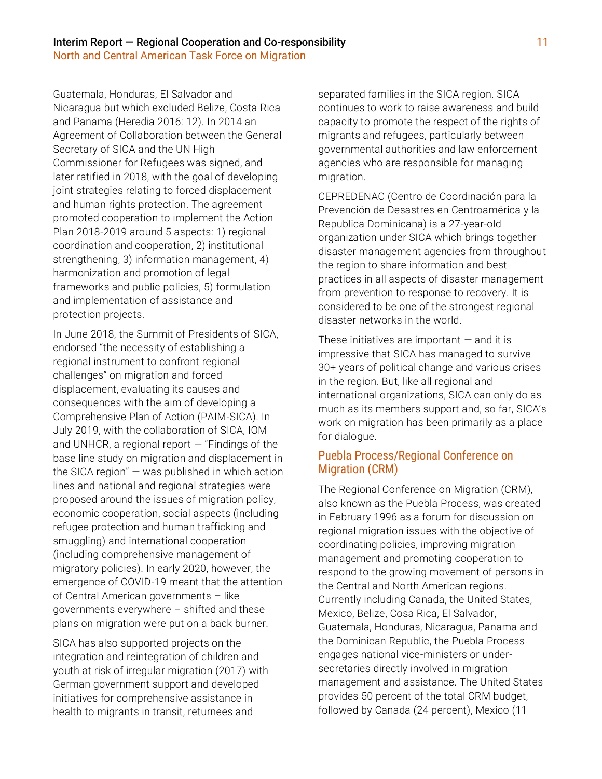Guatemala, Honduras, El Salvador and Nicaragua but which excluded Belize, Costa Rica and Panama (Heredia 2016: 12). In 2014 an Agreement of Collaboration between the General Secretary of SICA and the UN High Commissioner for Refugees was signed, and later ratified in 2018, with the goal of developing joint strategies relating to forced displacement and human rights protection. The agreement promoted cooperation to implement the Action Plan 2018-2019 around 5 aspects: 1) regional coordination and cooperation, 2) institutional strengthening, 3) information management, 4) harmonization and promotion of legal frameworks and public policies, 5) formulation and implementation of assistance and protection projects.

In June 2018, the Summit of Presidents of SICA, endorsed "the necessity of establishing a regional instrument to confront regional challenges" on migration and forced displacement, evaluating its causes and consequences with the aim of developing a Comprehensive Plan of Action (PAIM-SICA). In July 2019, with the collaboration of SICA, IOM and UNHCR, a regional report  $-$  "Findings of the base line study on migration and displacement in the SICA region" — was published in which action lines and national and regional strategies were proposed around the issues of migration policy, economic cooperation, social aspects (including refugee protection and human trafficking and smuggling) and international cooperation (including comprehensive management of migratory policies). In early 2020, however, the emergence of COVID-19 meant that the attention of Central American governments – like governments everywhere – shifted and these plans on migration were put on a back burner.

SICA has also supported projects on the integration and reintegration of children and youth at risk of irregular migration (2017) with German government support and developed initiatives for comprehensive assistance in health to migrants in transit, returnees and

separated families in the SICA region. SICA continues to work to raise awareness and build capacity to promote the respect of the rights of migrants and refugees, particularly between governmental authorities and law enforcement agencies who are responsible for managing migration.

CEPREDENAC (Centro de Coordinación para la Prevención de Desastres en Centroamérica y la Republica Dominicana) is a 27-year-old organization under SICA which brings together disaster management agencies from throughout the region to share information and best practices in all aspects of disaster management from prevention to response to recovery. It is considered to be one of the strongest regional disaster networks in the world.

These initiatives are important  $-$  and it is impressive that SICA has managed to survive 30+ years of political change and various crises in the region. But, like all regional and international organizations, SICA can only do as much as its members support and, so far, SICA's work on migration has been primarily as a place for dialogue.

# Puebla Process/Regional Conference on Migration (CRM)

The Regional Conference on Migration (CRM), also known as the Puebla Process, was created in February 1996 as a forum for discussion on regional migration issues with the objective of coordinating policies, improving migration management and promoting cooperation to respond to the growing movement of persons in the Central and North American regions. Currently including Canada, the United States, Mexico, Belize, Cosa Rica, El Salvador, Guatemala, Honduras, Nicaragua, Panama and the Dominican Republic, the Puebla Process engages national vice-ministers or undersecretaries directly involved in migration management and assistance. The United States provides 50 percent of the total CRM budget, followed by Canada (24 percent), Mexico (11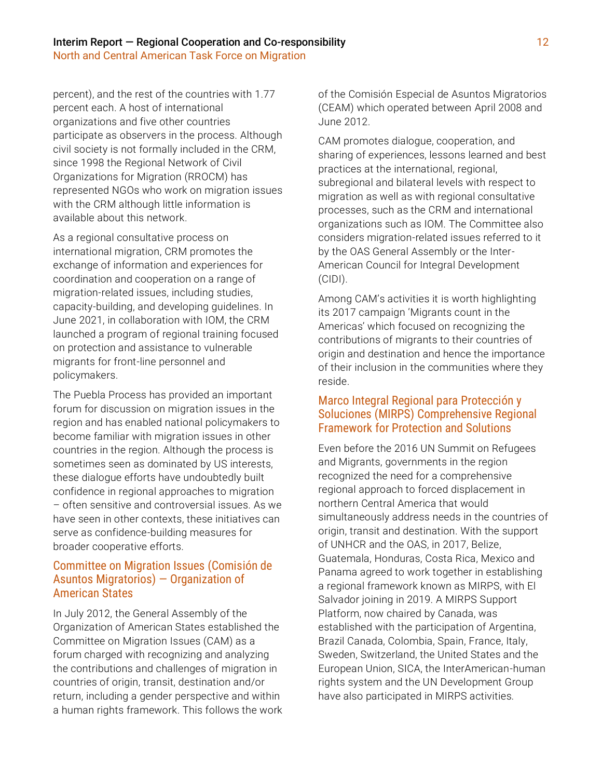percent), and the rest of the countries with 1.77 percent each. A host of international organizations and five other countries participate as observers in the process. Although civil society is not formally included in the CRM, since 1998 the Regional Network of Civil Organizations for Migration (RROCM) has represented NGOs who work on migration issues with the CRM although little information is available about this network.

As a regional consultative process on international migration, CRM promotes the exchange of information and experiences for coordination and cooperation on a range of migration-related issues, including studies, capacity-building, and developing guidelines. In June 2021, in collaboration with IOM, the CRM launched a program of regional training focused on protection and assistance to vulnerable migrants for front-line personnel and policymakers.

The Puebla Process has provided an important forum for discussion on migration issues in the region and has enabled national policymakers to become familiar with migration issues in other countries in the region. Although the process is sometimes seen as dominated by US interests, these dialogue efforts have undoubtedly built confidence in regional approaches to migration – often sensitive and controversial issues. As we have seen in other contexts, these initiatives can serve as confidence-building measures for broader cooperative efforts.

### Committee on Migration Issues (Comisión de Asuntos Migratorios) — Organization of American States

In July 2012, the General Assembly of the Organization of American States established the Committee on Migration Issues (CAM) as a forum charged with recognizing and analyzing the contributions and challenges of migration in countries of origin, transit, destination and/or return, including a gender perspective and within a human rights framework. This follows the work of the Comisión Especial de Asuntos Migratorios (CEAM) which operated between April 2008 and June 2012.

CAM promotes dialogue, cooperation, and sharing of experiences, lessons learned and best practices at the international, regional, subregional and bilateral levels with respect to migration as well as with regional consultative processes, such as the CRM and international organizations such as IOM. The Committee also considers migration-related issues referred to it by the OAS General Assembly or the Inter-American Council for Integral Development (CIDI).

Among CAM's activities it is worth highlighting its 2017 campaign 'Migrants count in the Americas' which focused on recognizing the contributions of migrants to their countries of origin and destination and hence the importance of their inclusion in the communities where they reside.

### Marco Integral Regional para Protección y Soluciones (MIRPS) Comprehensive Regional Framework for Protection and Solutions

Even before the 2016 UN Summit on Refugees and Migrants, governments in the region recognized the need for a comprehensive regional approach to forced displacement in northern Central America that would simultaneously address needs in the countries of origin, transit and destination. With the support of UNHCR and the OAS, in 2017, Belize, Guatemala, Honduras, Costa Rica, Mexico and Panama agreed to work together in establishing a regional framework known as MIRPS, with El Salvador joining in 2019. A MIRPS Support Platform, now chaired by Canada, was established with the participation of Argentina, Brazil Canada, Colombia, Spain, France, Italy, Sweden, Switzerland, the United States and the European Union, SICA, the InterAmerican-human rights system and the UN Development Group have also participated in MIRPS activities.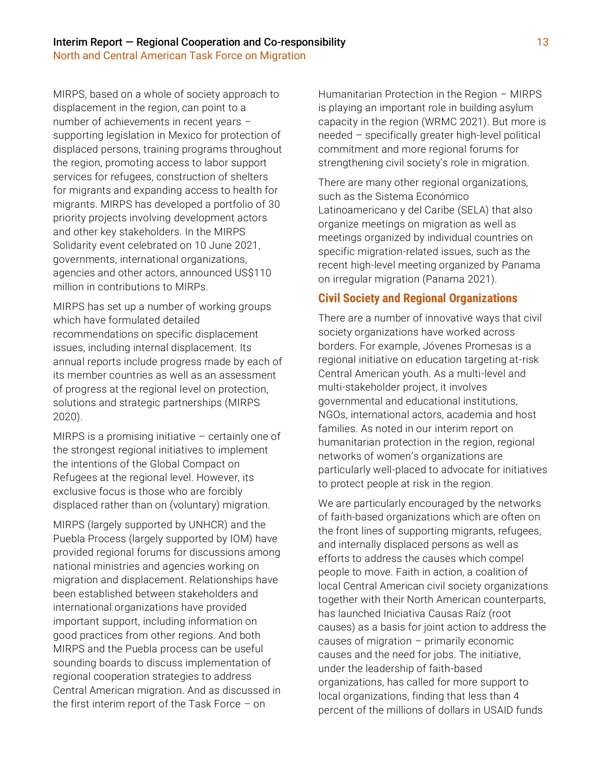MIRPS, based on a whole of society approach to displacement in the region, can point to a number of achievements in recent years – supporting legislation in Mexico for protection of displaced persons, training programs throughout the region, promoting access to labor support services for refugees, construction of shelters for migrants and expanding access to health for migrants. MIRPS has developed a portfolio of 30 priority projects involving development actors and other key stakeholders. In the MIRPS Solidarity event celebrated on 10 June 2021, governments, international organizations, agencies and other actors, announced US\$110 million in contributions to MIRPs.

MIRPS has set up a number of working groups which have formulated detailed recommendations on specific displacement issues, including internal displacement. Its annual reports include progress made by each of its member countries as well as an assessment of progress at the regional level on protection, solutions and strategic partnerships (MIRPS 2020).

MIRPS is a promising initiative  $-$  certainly one of the strongest regional initiatives to implement the intentions of the Global Compact on Refugees at the regional level. However, its exclusive focus is those who are forcibly displaced rather than on (voluntary) migration.

MIRPS (largely supported by UNHCR) and the Puebla Process (largely supported by IOM) have provided regional forums for discussions among national ministries and agencies working on migration and displacement. Relationships have been established between stakeholders and international organizations have provided important support, including information on good practices from other regions. And both MIRPS and the Puebla process can be useful sounding boards to discuss implementation of regional cooperation strategies to address Central American migration. And as discussed in the first interim report of the Task Force – on

Humanitarian Protection in the Region – MIRPS is playing an important role in building asylum capacity in the region (WRMC 2021). But more is needed – specifically greater high-level political commitment and more regional forums for strengthening civil society's role in migration.

There are many other regional organizations, such as the Sistema Económico Latinoamericano y del Caribe (SELA) that also organize meetings on migration as well as meetings organized by individual countries on specific migration-related issues, such as the recent high-level meeting organized by Panama on irregular migration (Panama 2021).

### **Civil Society and Regional Organizations**

There are a number of innovative ways that civil society organizations have worked across borders. For example, Jóvenes Promesas is a regional initiative on education targeting at-risk Central American youth. As a multi-level and multi-stakeholder project, it involves governmental and educational institutions, NGOs, international actors, academia and host families. As noted in our interim report on humanitarian protection in the region, regional networks of women's organizations are particularly well-placed to advocate for initiatives to protect people at risk in the region.

We are particularly encouraged by the networks of faith-based organizations which are often on the front lines of supporting migrants, refugees, and internally displaced persons as well as efforts to address the causes which compel people to move. Faith in action, a coalition of local Central American civil society organizations together with their North American counterparts, has launched Iniciativa Causas Raíz (root causes) as a basis for joint action to address the causes of migration – primarily economic causes and the need for jobs. The initiative, under the leadership of faith-based organizations, has called for more support to local organizations, finding that less than 4 percent of the millions of dollars in USAID funds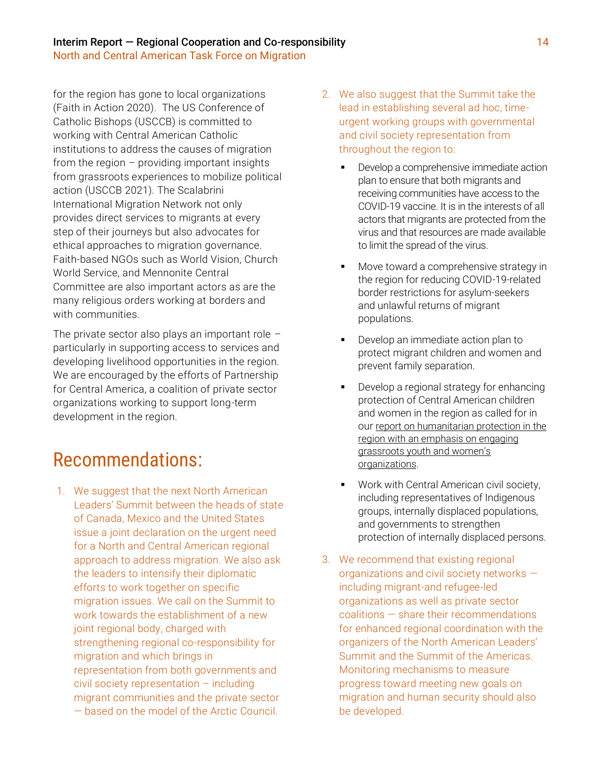#### Interim Report — Regional Cooperation and Co-responsibility 14 North and Central American Task Force on Migration

for the region has gone to local organizations (Faith in Action 2020). The US Conference of Catholic Bishops (USCCB) is committed to working with Central American Catholic institutions to address the causes of migration from the region – providing important insights from grassroots experiences to mobilize political action (USCCB 2021). The Scalabrini International Migration Network not only provides direct services to migrants at every step of their journeys but also advocates for ethical approaches to migration governance. Faith-based NGOs such as World Vision, Church World Service, and Mennonite Central Committee are also important actors as are the many religious orders working at borders and with communities.

The private sector also plays an important role  $$ particularly in supporting access to services and developing livelihood opportunities in the region. We are encouraged by the efforts of Partnership for Central America, a coalition of private sector organizations working to support long-term development in the region.

# Recommendations:

1. We suggest that the next North American Leaders' Summit between the heads of state of Canada, Mexico and the United States issue a joint declaration on the urgent need for a North and Central American regional approach to address migration. We also ask the leaders to intensify their diplomatic efforts to work together on specific migration issues. We call on the Summit to work towards the establishment of a new joint regional body, charged with strengthening regional co-responsibility for migration and which brings in representation from both governments and civil society representation – including migrant communities and the private sector — based on the model of the Arctic Council.

- 2. We also suggest that the Summit take the lead in establishing several ad hoc, timeurgent working groups with governmental and civil society representation from throughout the region to:
	- **•** Develop a comprehensive immediate action plan to ensure that both migrants and receiving communities have access to the COVID-19 vaccine. It is in the interests of all actors that migrants are protected from the virus and that resources are made available to limit the spread of the virus.
	- Move toward a comprehensive strategy in the region for reducing COVID-19-related border restrictions for asylum-seekers and unlawful returns of migrant populations.
	- Develop an immediate action plan to protect migrant children and women and prevent family separation.
	- Develop a regional strategy for enhancing protection of Central American children and women in the region as called for in our report on humanitarian protection in the [region with an emphasis on engaging](https://wrmcouncil.org/publications/report/interim-report-recommendations-humanitarian-protection-in-the-region-a-state-of-emergency/)  [grassroots youth and women's](https://wrmcouncil.org/publications/report/interim-report-recommendations-humanitarian-protection-in-the-region-a-state-of-emergency/)  [organizations](https://wrmcouncil.org/publications/report/interim-report-recommendations-humanitarian-protection-in-the-region-a-state-of-emergency/).
	- Work with Central American civil society, including representatives of Indigenous groups, internally displaced populations, and governments to strengthen protection of internally displaced persons.
- 3. We recommend that existing regional organizations and civil society networks including migrant-and refugee-led organizations as well as private sector coalitions — share their recommendations for enhanced regional coordination with the organizers of the North American Leaders' Summit and the Summit of the Americas. Monitoring mechanisms to measure progress toward meeting new goals on migration and human security should also be developed.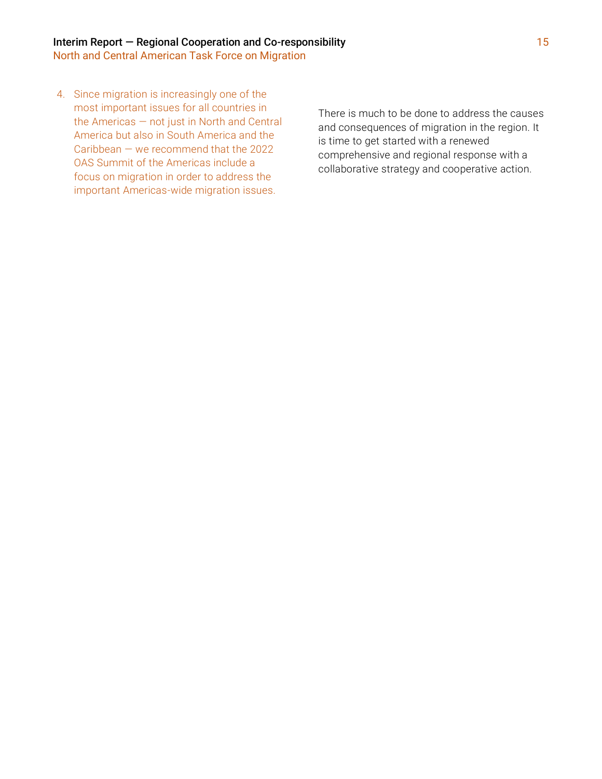4. Since migration is increasingly one of the most important issues for all countries in the Americas — not just in North and Central America but also in South America and the Caribbean — we recommend that the 2022 OAS Summit of the Americas include a focus on migration in order to address the important Americas-wide migration issues.

There is much to be done to address the causes and consequences of migration in the region. It is time to get started with a renewed comprehensive and regional response with a collaborative strategy and cooperative action.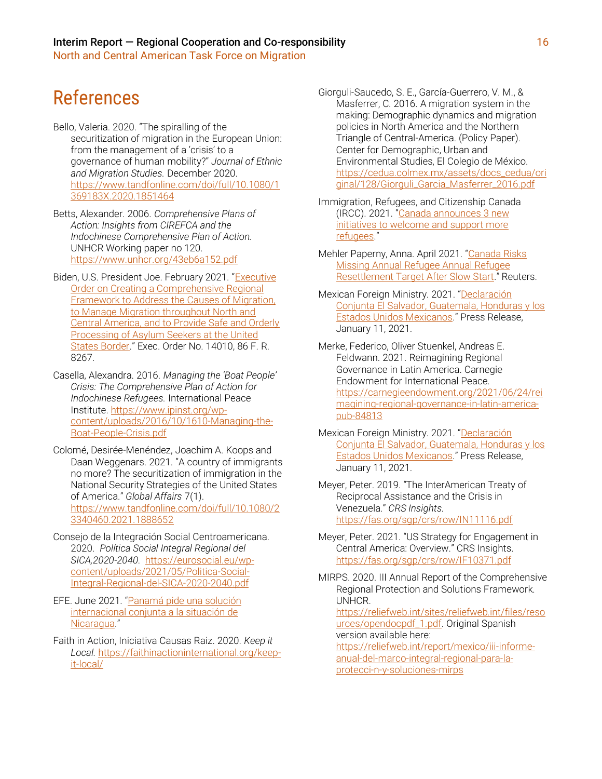# References

- Bello, Valeria. 2020. "The spiralling of the securitization of migration in the European Union: from the management of a 'crisis' to a governance of human mobility?" *Journal of Ethnic and Migration Studies.* December 2020. [https://www.tandfonline.com/doi/full/10.1080/1](https://www.tandfonline.com/doi/full/10.1080/1369183X.2020.1851464) [369183X.2020.1851464](https://www.tandfonline.com/doi/full/10.1080/1369183X.2020.1851464)
- Betts, Alexander. 2006. *Comprehensive Plans of Action: Insights from CIREFCA and the Indochinese Comprehensive Plan of Action.* UNHCR Working paper no 120. <https://www.unhcr.org/43eb6a152.pdf>
- Biden, U.S. President Joe. February 2021. "[Executive](http://www.whitehouse.gov/briefing-room/presidential-actions/2021/02/02/executive-order-creating-a-comprehensive-regional-framework-to-address-the-causes-of-migration-to-manage-migration-throughout-north-and-central-america-and-to-provide-safe-and-orderly-processing/)  [Order on Creating a Comprehensive Regional](http://www.whitehouse.gov/briefing-room/presidential-actions/2021/02/02/executive-order-creating-a-comprehensive-regional-framework-to-address-the-causes-of-migration-to-manage-migration-throughout-north-and-central-america-and-to-provide-safe-and-orderly-processing/)  [Framework to Address the Causes of Migration,](http://www.whitehouse.gov/briefing-room/presidential-actions/2021/02/02/executive-order-creating-a-comprehensive-regional-framework-to-address-the-causes-of-migration-to-manage-migration-throughout-north-and-central-america-and-to-provide-safe-and-orderly-processing/)  [to Manage Migration throughout North and](http://www.whitehouse.gov/briefing-room/presidential-actions/2021/02/02/executive-order-creating-a-comprehensive-regional-framework-to-address-the-causes-of-migration-to-manage-migration-throughout-north-and-central-america-and-to-provide-safe-and-orderly-processing/)  [Central America, and to Provide Safe and Orderly](http://www.whitehouse.gov/briefing-room/presidential-actions/2021/02/02/executive-order-creating-a-comprehensive-regional-framework-to-address-the-causes-of-migration-to-manage-migration-throughout-north-and-central-america-and-to-provide-safe-and-orderly-processing/)  [Processing of Asylum Seekers at the United](http://www.whitehouse.gov/briefing-room/presidential-actions/2021/02/02/executive-order-creating-a-comprehensive-regional-framework-to-address-the-causes-of-migration-to-manage-migration-throughout-north-and-central-america-and-to-provide-safe-and-orderly-processing/)  [States Border.](http://www.whitehouse.gov/briefing-room/presidential-actions/2021/02/02/executive-order-creating-a-comprehensive-regional-framework-to-address-the-causes-of-migration-to-manage-migration-throughout-north-and-central-america-and-to-provide-safe-and-orderly-processing/)" Exec. Order No. 14010, 86 F. R. 8267.
- Casella, Alexandra. 2016. *Managing the 'Boat People' Crisis: The Comprehensive Plan of Action for Indochinese Refugees.* International Peace Institute[. https://www.ipinst.org/wp](https://www.ipinst.org/wp-content/uploads/2016/10/1610-Managing-the-Boat-People-Crisis.pdf)[content/uploads/2016/10/1610-Managing-the-](https://www.ipinst.org/wp-content/uploads/2016/10/1610-Managing-the-Boat-People-Crisis.pdf)[Boat-People-Crisis.pdf](https://www.ipinst.org/wp-content/uploads/2016/10/1610-Managing-the-Boat-People-Crisis.pdf)
- Colomé, Desirée-Menéndez, Joachim A. Koops and Daan Weggenars. 2021. "A country of immigrants no more? The securitization of immigration in the National Security Strategies of the United States of America." *Global Affairs* 7(1). [https://www.tandfonline.com/doi/full/10.1080/2](https://www.tandfonline.com/doi/full/10.1080/23340460.2021.1888652) [3340460.2021.1888652](https://www.tandfonline.com/doi/full/10.1080/23340460.2021.1888652)
- Consejo de la Integración Social Centroamericana. 2020. *Política Social Integral Regional del SICA,2020-2040.* [https://eurosocial.eu/wp](https://eurosocial.eu/wp-content/uploads/2021/05/Politica-Social-Integral-Regional-del-SICA-2020-2040.pdf)[content/uploads/2021/05/Politica-Social-](https://eurosocial.eu/wp-content/uploads/2021/05/Politica-Social-Integral-Regional-del-SICA-2020-2040.pdf)[Integral-Regional-del-SICA-2020-2040.pdf](https://eurosocial.eu/wp-content/uploads/2021/05/Politica-Social-Integral-Regional-del-SICA-2020-2040.pdf)
- EFE. June 2021. "Panamá pide una solución [internacional conjunta a la situación de](http://www.swissinfo.ch/spa/panam%C3%A1-nicaragua_panam%C3%A1-pide-una-soluci%C3%B3n-internacional-conjunta-a-la-situaci%C3%B3n-de-nicaragua/46732190)  [Nicaragua](http://www.swissinfo.ch/spa/panam%C3%A1-nicaragua_panam%C3%A1-pide-una-soluci%C3%B3n-internacional-conjunta-a-la-situaci%C3%B3n-de-nicaragua/46732190)."
- Faith in Action, Iniciativa Causas Raiz. 2020. *Keep it Local.* [https://faithinactioninternational.org/keep](https://faithinactioninternational.org/keep-it-local/)[it-local/](https://faithinactioninternational.org/keep-it-local/)

Giorguli-Saucedo, S. E., García-Guerrero, V. M., & Masferrer, C. 2016. A migration system in the making: Demographic dynamics and migration policies in North America and the Northern Triangle of Central-America. (Policy Paper). Center for Demographic, Urban and Environmental Studies, El Colegio de México. [https://cedua.colmex.mx/assets/docs\\_cedua/ori](https://cedua.colmex.mx/assets/docs_cedua/original/128/Giorguli_Garcia_Masferrer_2016.pdf) [ginal/128/Giorguli\\_Garcia\\_Masferrer\\_2016.pdf](https://cedua.colmex.mx/assets/docs_cedua/original/128/Giorguli_Garcia_Masferrer_2016.pdf)

- Immigration, Refugees, and Citizenship Canada (IRCC). 2021. "[Canada announces 3 new](http://www.canada.ca/en/immigration-refugees-citizenship/news/2021/06/canada-announces-3-new-initiatives-to-welcome-and-support-more-refugees.html)  [initiatives to welcome and support more](http://www.canada.ca/en/immigration-refugees-citizenship/news/2021/06/canada-announces-3-new-initiatives-to-welcome-and-support-more-refugees.html)  [refugees](http://www.canada.ca/en/immigration-refugees-citizenship/news/2021/06/canada-announces-3-new-initiatives-to-welcome-and-support-more-refugees.html)."
- Mehler Paperny, Anna. April 2021. "[Canada Risks](http://www.reuters.com/world/americas/canada-risks-missing-annual-refugee-resettlement-target-after-slow-start-2021-04-28/)  [Missing Annual Refugee Annual Refugee](http://www.reuters.com/world/americas/canada-risks-missing-annual-refugee-resettlement-target-after-slow-start-2021-04-28/)  [Resettlement Target After Slow Start](http://www.reuters.com/world/americas/canada-risks-missing-annual-refugee-resettlement-target-after-slow-start-2021-04-28/)." Reuters.
- Mexican Foreign Ministry. 2021. "[Declaración](https://www.gob.mx/cms/uploads/attachment/file/605126/DECLARACIO_N_CONJUNTA._EL_SALVADOR_HONDURAS_GUATEMALA_ME_XICO.pdf)  [Conjunta El Salvador, Guatemala, Honduras y los](https://www.gob.mx/cms/uploads/attachment/file/605126/DECLARACIO_N_CONJUNTA._EL_SALVADOR_HONDURAS_GUATEMALA_ME_XICO.pdf)  [Estados Unidos Mexicanos](https://www.gob.mx/cms/uploads/attachment/file/605126/DECLARACIO_N_CONJUNTA._EL_SALVADOR_HONDURAS_GUATEMALA_ME_XICO.pdf)." Press Release, January 11, 2021.
- Merke, Federico, Oliver Stuenkel, Andreas E. Feldwann. 2021. Reimagining Regional Governance in Latin America. Carnegie Endowment for International Peace. [https://carnegieendowment.org/2021/06/24/rei](https://carnegieendowment.org/2021/06/24/reimagining-regional-governance-in-latin-america-pub-84813) [magining-regional-governance-in-latin-america](https://carnegieendowment.org/2021/06/24/reimagining-regional-governance-in-latin-america-pub-84813)[pub-84813](https://carnegieendowment.org/2021/06/24/reimagining-regional-governance-in-latin-america-pub-84813)
- Mexican Foreign Ministry. 2021. "Declaración [Conjunta El Salvador, Guatemala, Honduras y los](https://www.gob.mx/cms/uploads/attachment/file/605126/DECLARACIO_N_CONJUNTA._EL_SALVADOR_HONDURAS_GUATEMALA_ME_XICO.pdf)  [Estados Unidos Mexicanos](https://www.gob.mx/cms/uploads/attachment/file/605126/DECLARACIO_N_CONJUNTA._EL_SALVADOR_HONDURAS_GUATEMALA_ME_XICO.pdf)." Press Release, January 11, 2021.
- Meyer, Peter. 2019. "The InterAmerican Treaty of Reciprocal Assistance and the Crisis in Venezuela." *CRS Insights.*  <https://fas.org/sgp/crs/row/IN11116.pdf>

Meyer, Peter. 2021. "US Strategy for Engagement in Central America: Overview." CRS Insights. <https://fas.org/sgp/crs/row/IF10371.pdf>

MIRPS. 2020. III Annual Report of the Comprehensive Regional Protection and Solutions Framework. **UNHCR** 

[https://reliefweb.int/sites/reliefweb.int/files/reso](https://reliefweb.int/sites/reliefweb.int/files/resources/opendocpdf_1.pdf) [urces/opendocpdf\\_1.pdf.](https://reliefweb.int/sites/reliefweb.int/files/resources/opendocpdf_1.pdf) Original Spanish version available here:

[https://reliefweb.int/report/mexico/iii-informe](https://reliefweb.int/report/mexico/iii-informe-anual-del-marco-integral-regional-para-la-protecci-n-y-soluciones-mirps)[anual-del-marco-integral-regional-para-la](https://reliefweb.int/report/mexico/iii-informe-anual-del-marco-integral-regional-para-la-protecci-n-y-soluciones-mirps)[protecci-n-y-soluciones-mirps](https://reliefweb.int/report/mexico/iii-informe-anual-del-marco-integral-regional-para-la-protecci-n-y-soluciones-mirps)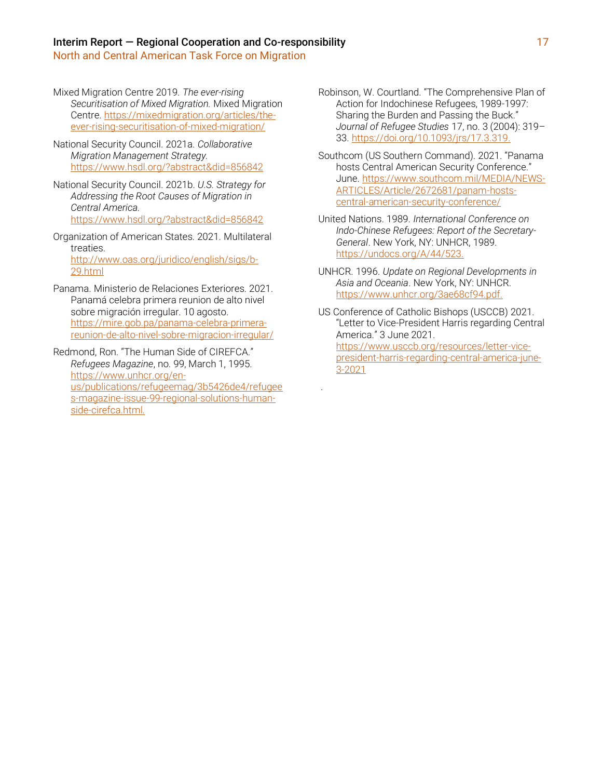North and Central American Task Force on Migration

- Mixed Migration Centre 2019. *The ever-rising Securitisation of Mixed Migration.* Mixed Migration Centre. [https://mixedmigration.org/articles/the](https://mixedmigration.org/articles/the-ever-rising-securitisation-of-mixed-migration/)[ever-rising-securitisation-of-mixed-migration/](https://mixedmigration.org/articles/the-ever-rising-securitisation-of-mixed-migration/)
- National Security Council. 2021a. *Collaborative Migration Management Strategy.* <https://www.hsdl.org/?abstract&did=856842>
- National Security Council. 2021b. *U.S. Strategy for Addressing the Root Causes of Migration in Central America.*  <https://www.hsdl.org/?abstract&did=856842>
- Organization of American States. 2021. Multilateral treaties. [http://www.oas.org/juridico/english/sigs/b-](http://www.oas.org/juridico/english/sigs/b-29.html)[29.html](http://www.oas.org/juridico/english/sigs/b-29.html)
- Panama. Ministerio de Relaciones Exteriores. 2021. Panamá celebra primera reunion de alto nivel sobre migración irregular. 10 agosto. [https://mire.gob.pa/panama-celebra-primera](https://mire.gob.pa/panama-celebra-primera-reunion-de-alto-nivel-sobre-migracion-irregular/)[reunion-de-alto-nivel-sobre-migracion-irregular/](https://mire.gob.pa/panama-celebra-primera-reunion-de-alto-nivel-sobre-migracion-irregular/)
- Redmond, Ron. "The Human Side of CIREFCA." *Refugees Magazine*, no. 99, March 1, 1995. [https://www.unhcr.org/en](https://www.unhcr.org/en-us/publications/refugeemag/3b5426de4/refugees-magazine-issue-99-regional-solutions-human-side-cirefca.html)[us/publications/refugeemag/3b5426de4/refugee](https://www.unhcr.org/en-us/publications/refugeemag/3b5426de4/refugees-magazine-issue-99-regional-solutions-human-side-cirefca.html) [s-magazine-issue-99-regional-solutions-human](https://www.unhcr.org/en-us/publications/refugeemag/3b5426de4/refugees-magazine-issue-99-regional-solutions-human-side-cirefca.html)[side-cirefca.html.](https://www.unhcr.org/en-us/publications/refugeemag/3b5426de4/refugees-magazine-issue-99-regional-solutions-human-side-cirefca.html)
- Robinson, W. Courtland. "The Comprehensive Plan of Action for Indochinese Refugees, 1989-1997: Sharing the Burden and Passing the Buck." *Journal of Refugee Studies* 17, no. 3 (2004): 319– 33[. https://doi.org/10.1093/jrs/17.3.319.](https://doi.org/10.1093/jrs/17.3.319)
- Southcom (US Southern Command). 2021. "Panama hosts Central American Security Conference." June[. https://www.southcom.mil/MEDIA/NEWS-](https://www.southcom.mil/MEDIA/NEWS-ARTICLES/Article/2672681/panam-hosts-central-american-security-conference/)[ARTICLES/Article/2672681/panam-hosts](https://www.southcom.mil/MEDIA/NEWS-ARTICLES/Article/2672681/panam-hosts-central-american-security-conference/)[central-american-security-conference/](https://www.southcom.mil/MEDIA/NEWS-ARTICLES/Article/2672681/panam-hosts-central-american-security-conference/)
- United Nations. 1989. *International Conference on Indo-Chinese Refugees: Report of the Secretary-General*. New York, NY: UNHCR, 1989. [https://undocs.org/A/44/523.](https://undocs.org/A/44/523)
- UNHCR. 1996. *Update on Regional Developments in Asia and Oceania*. New York, NY: UNHCR. [https://www.unhcr.org/3ae68cf94.pdf.](https://www.unhcr.org/3ae68cf94.pdf)
- US Conference of Catholic Bishops (USCCB) 2021. "Letter to Vice-President Harris regarding Central America." 3 June 2021. [https://www.usccb.org/resources/letter-vice-](https://www.usccb.org/resources/letter-vice-president-harris-regarding-central-america-june-3-2021)

.

[president-harris-regarding-central-america-june-](https://www.usccb.org/resources/letter-vice-president-harris-regarding-central-america-june-3-2021)[3-2021](https://www.usccb.org/resources/letter-vice-president-harris-regarding-central-america-june-3-2021)